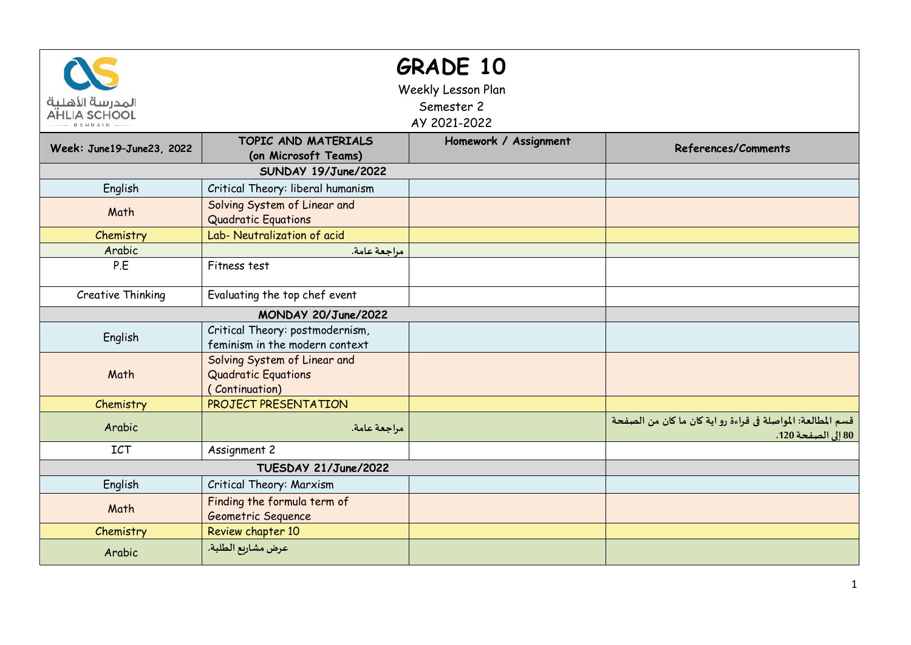| المدرسة الأهلية<br><b>AHLIA SCHOOL</b> |                                                                       | <b>GRADE 10</b><br>Weekly Lesson Plan<br>Semester 2<br>AY 2021-2022 |                                                                                   |
|----------------------------------------|-----------------------------------------------------------------------|---------------------------------------------------------------------|-----------------------------------------------------------------------------------|
| Week: June19-June23, 2022              | TOPIC AND MATERIALS<br>(on Microsoft Teams)                           | Homework / Assignment                                               | References/Comments                                                               |
|                                        |                                                                       |                                                                     |                                                                                   |
| English                                | Critical Theory: liberal humanism                                     |                                                                     |                                                                                   |
| Math                                   | Solving System of Linear and<br><b>Quadratic Equations</b>            |                                                                     |                                                                                   |
| Chemistry                              | Lab- Neutralization of acid                                           |                                                                     |                                                                                   |
| Arabic                                 | مراجعة عامة.                                                          |                                                                     |                                                                                   |
| P.E                                    | Fitness test                                                          |                                                                     |                                                                                   |
| Creative Thinking                      | Evaluating the top chef event                                         |                                                                     |                                                                                   |
|                                        |                                                                       |                                                                     |                                                                                   |
| English                                | Critical Theory: postmodernism,<br>feminism in the modern context     |                                                                     |                                                                                   |
| Math                                   | Solving System of Linear and<br>Quadratic Equations<br>(Continuation) |                                                                     |                                                                                   |
| Chemistry                              | PROJECT PRESENTATION                                                  |                                                                     |                                                                                   |
| Arabic                                 | مراجعة عامة.                                                          |                                                                     | قسم المطالعة: المواصلة في قراءة رو اية كان ما كان من الصفحة<br>80 إلى الصفحة 120. |
| <b>ICT</b>                             | Assignment 2                                                          |                                                                     |                                                                                   |
|                                        | TUESDAY 21/June/2022                                                  |                                                                     |                                                                                   |
| English                                | Critical Theory: Marxism                                              |                                                                     |                                                                                   |
| Math                                   | Finding the formula term of<br>Geometric Sequence                     |                                                                     |                                                                                   |
| Chemistry                              | Review chapter 10                                                     |                                                                     |                                                                                   |
| Arabic                                 | عرض مشاريع الطلبة.                                                    |                                                                     |                                                                                   |